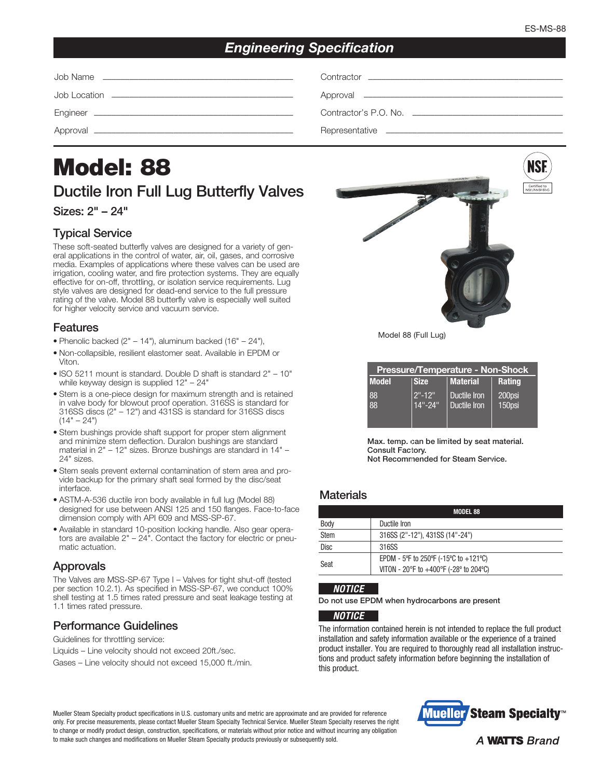# *Engineering Specification*

| Contractor <b>Contractor Contractor Contractor Contractor Contractor Contractor</b> |
|-------------------------------------------------------------------------------------|
|                                                                                     |
|                                                                                     |
|                                                                                     |

# Model: 88 Ductile Iron Full Lug Butterfly Valves

Sizes: 2" – 24"

# Typical Service

These soft-seated butterfly valves are designed for a variety of general applications in the control of water, air, oil, gases, and corrosive media. Examples of applications where these valves can be used are irrigation, cooling water, and fire protection systems. They are equally effective for on-off, throttling, or isolation service requirements. Lug style valves are designed for dead-end service to the full pressure rating of the valve. Model 88 butterfly valve is especially well suited for higher velocity service and vacuum service.

#### Features

- Phenolic backed  $(2<sup>n</sup> 14<sup>n</sup>)$ , aluminum backed  $(16<sup>n</sup> 24<sup>n</sup>)$ ,
- Non-collapsible, resilient elastomer seat. Available in EPDM or Viton.
- ISO 5211 mount is standard. Double D shaft is standard 2" 10" while keyway design is supplied 12" – 24"
- Stem is a one-piece design for maximum strength and is retained in valve body for blowout proof operation. 316SS is standard for 316SS discs (2" – 12") and 431SS is standard for 316SS discs  $(14" - 24")$
- Stem bushings provide shaft support for proper stem alignment and minimize stem deflection. Duralon bushings are standard material in 2" – 12" sizes. Bronze bushings are standard in 14" – 24" sizes.
- Stem seals prevent external contamination of stem area and provide backup for the primary shaft seal formed by the disc/seat interface.
- ASTM-A-536 ductile iron body available in full lug (Model 88) designed for use between ANSI 125 and 150 flanges. Face-to-face dimension comply with API 609 and MSS-SP-67.
- Available in standard 10-position locking handle. Also gear operators are available 2" – 24". Contact the factory for electric or pneumatic actuation.

## Approvals

The Valves are MSS-SP-67 Type I – Valves for tight shut-off (tested per section 10.2.1). As specified in MSS-SP-67, we conduct 100% shell testing at 1.5 times rated pressure and seat leakage testing at 1.1 times rated pressure.

## Performance Guidelines

Guidelines for throttling service:

Liquids – Line velocity should not exceed 20ft./sec.

Gases – Line velocity should not exceed 15,000 ft./min.



Model 88 (Full Lug)

| <b>Pressure/Temperature - Non-Shock</b> |             |              |               |  |  |  |  |  |  |  |
|-----------------------------------------|-------------|--------------|---------------|--|--|--|--|--|--|--|
| <b>Model</b>                            | <b>Size</b> | Material     | <b>Rating</b> |  |  |  |  |  |  |  |
| 88                                      | $2" - 12"$  | Ductile Iron | 200psi        |  |  |  |  |  |  |  |
| 88                                      | $14" - 24"$ | Ductile Iron | $150$ psi     |  |  |  |  |  |  |  |
|                                         |             |              |               |  |  |  |  |  |  |  |

Max. temp. can be limited by seat material. Consult Factory.

Not Recommended for Steam Service.

## **Materials**

|             | <b>MODEL 88</b>                           |
|-------------|-------------------------------------------|
| Body        | Ductile Iron                              |
| Stem        | 316SS (2"-12"), 431SS (14"-24")           |
| <b>Disc</b> | 316SS                                     |
| Seat        | EPDM - 5°F to 250°F (-15°C to +121°C)     |
|             | VITON - 20°F to $+400$ °F (-28° to 204°C) |

#### *NOTICE*

Do not use EPDM when hydrocarbons are present

#### *NOTICE*

The information contained herein is not intended to replace the full product installation and safety information available or the experience of a trained product installer. You are required to thoroughly read all installation instructions and product safety information before beginning the installation of this product.

Mueller Steam Specialty product specifications in U.S. customary units and metric are approximate and are provided for reference only. For precise measurements, please contact Mueller Steam Specialty Technical Service. Mueller Steam Specialty reserves the right to change or modify product design, construction, specifications, or materials without prior notice and without incurring any obligation to make such changes and modifications on Mueller Steam Specialty products previously or subsequently sold.

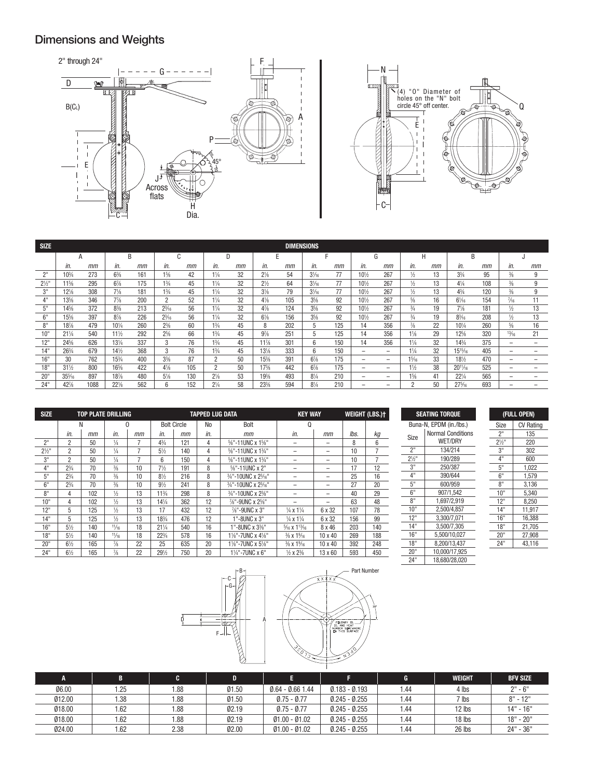# Dimensions and Weights



| <b>SIZE</b> | <b>DIMENSIONS</b> |      |                |     |                |             |                |    |                 |     |                 |     |                          |                          |                |    |                  |     |                 |    |
|-------------|-------------------|------|----------------|-----|----------------|-------------|----------------|----|-----------------|-----|-----------------|-----|--------------------------|--------------------------|----------------|----|------------------|-----|-----------------|----|
|             | A                 |      | B              |     |                | $\sim$<br>u | D              |    | E               |     |                 |     | G                        |                          | H              |    | B                |     |                 |    |
|             | In.               | mm   | in.            | mm  | in.            | mm          | in.            | mm | in.             | mm  | in.             | mm  | In.                      | mm                       | in.            | mm | in.              | mm  | in.             | mm |
| 2"          | $10^{3}/_{4}$     | 273  | $6\frac{3}{8}$ | 161 | $1\frac{5}{8}$ | 42          | $1\frac{1}{4}$ | 32 | $2\frac{1}{8}$  | 54  | $3\frac{1}{16}$ | 77  | $10^{1/2}$               | 267                      | 1/2            | 13 | $3\frac{3}{4}$   | 95  | $\frac{3}{8}$   | 9  |
| $2^{1/2}$ " | 11%               | 295  | $6\frac{7}{8}$ | 175 | $1\frac{3}{4}$ | 45          | $1\frac{1}{4}$ | 32 | $2\frac{1}{2}$  | 64  | $3\frac{1}{16}$ | 77  | $10\frac{1}{2}$          | 267                      | 1/2            | 13 | $4\frac{1}{4}$   | 108 | $\frac{3}{8}$   | 9  |
| 3"          | $12\%$            | 308  | $7\frac{1}{8}$ | 181 | $1\frac{3}{4}$ | 45          | $1\frac{1}{4}$ | 32 | $3\frac{1}{8}$  | 79  | $3\frac{1}{6}$  | 77  | $10\frac{1}{2}$          | 267                      | 1/2            | 13 | $4\frac{3}{4}$   | 120 | $\frac{3}{8}$   | 9  |
|             | $13\%$            | 346  | $7\frac{7}{8}$ | 200 | $\overline{2}$ | 52          | $1\frac{1}{4}$ | 32 | $4\frac{1}{8}$  | 105 | $3\frac{5}{8}$  | 92  | $10\frac{1}{2}$          | 267                      | $\frac{5}{8}$  | 16 | $6\frac{1}{6}$   | 154 | $\frac{7}{16}$  | 11 |
| 5"          | $14\%$            | 372  | $8\frac{3}{8}$ | 213 | $2^{3}/_{16}$  | 56          | $1\frac{1}{4}$ | 32 | $4\frac{7}{8}$  | 124 | $3\frac{5}{8}$  | 92  | $10\frac{1}{2}$          | 267                      | $^{3}/_{4}$    | 19 | $7\frac{1}{8}$   | 181 | 1/2             | 13 |
| 6"          | $15\%$            | 397  | $8\frac{7}{8}$ | 226 | $2^{3}/_{16}$  | 56          | $1\frac{1}{4}$ | 32 | $6\frac{1}{8}$  | 156 | $3\frac{5}{8}$  | 92  | $10\frac{1}{2}$          | 267                      | $\frac{3}{4}$  | 19 | $8\frac{3}{16}$  | 208 | 1/2             | 13 |
| 8"          | 18%               | 479  | $10^{1/4}$     | 260 | $2\frac{3}{8}$ | 60          | $1\frac{3}{4}$ | 45 | 8               | 202 | 5               | 125 | 14                       | 356                      | ⅛              | 22 | $10^{1/4}$       | 260 | $\frac{5}{8}$   | 16 |
| 10"         | $21\frac{1}{4}$   | 540  | 11½            | 292 | $2^{5}/8$      | 66          | $1\frac{3}{4}$ | 45 | $9\frac{7}{8}$  | 251 | 5               | 125 | 14                       | 356                      | $1\frac{1}{8}$ | 29 | $12\frac{5}{8}$  | 320 | $\frac{13}{16}$ | 21 |
| 12"         | 24%               | 626  | 131/4          | 337 | 3              | 76          | 13/4           | 45 | 11%             | 301 | 6               | 150 | 14                       | 356                      | $1\frac{1}{4}$ | 32 | $14^{3}/4$       | 375 | -               | -  |
| 14"         | $26\frac{3}{4}$   | 679  | 141/2          | 368 | 3              | 76          | 13/4           | 45 | 131/8           | 333 | 6               | 150 | $\overline{\phantom{0}}$ | $\overline{\phantom{0}}$ | $1\frac{1}{4}$ | 32 | 1515/16          | 405 | -               |    |
| 16"         | 30                | 762  | 153/4          | 400 | $3\frac{3}{8}$ | 87          | $\overline{2}$ | 50 | 15%             | 391 | $6\frac{7}{8}$  | 175 | -                        | -                        | 15/16          | 33 | 181/2            | 470 | -               |    |
| 18"         | $31\frac{1}{2}$   | 800  | 16%            | 422 | $4\frac{1}{8}$ | 105         | $\overline{c}$ | 50 | $17\frac{3}{8}$ | 442 | $6\frac{7}{8}$  | 175 | -                        | -                        | $1\frac{1}{2}$ | 38 | $20^{11}/16$     | 525 | -               |    |
| 20"         | $35\%$            | 897  | 187/8          | 480 | $5\frac{1}{8}$ | 130         | $2\frac{1}{8}$ | 53 | 19%             | 493 | $8\frac{1}{4}$  | 210 | -                        | -                        | $1\frac{5}{8}$ | 41 | $22\frac{1}{4}$  | 565 | -               |    |
| 24"         | $42\frac{7}{8}$   | 1088 | $22\%$         | 562 | 6              | 152         | $2\frac{1}{4}$ | 58 | 23%             | 594 | $8\frac{1}{4}$  | 210 | -                        | -                        | n              | 50 | $27\frac{5}{16}$ | 693 | -               |    |

| <b>SIZE</b>      |                |     | <b>TOP PLATE DRILLING</b> |              |                 |                    | <b>TAPPED LUG DATA</b> |                     | <b>KEY WAY</b>                    |                | <b>WEIGHT (LBS.)t</b> |     |
|------------------|----------------|-----|---------------------------|--------------|-----------------|--------------------|------------------------|---------------------|-----------------------------------|----------------|-----------------------|-----|
|                  |                | N   |                           | <sup>0</sup> |                 | <b>Bolt Circle</b> | No                     | Bolt                | Ω                                 |                |                       |     |
|                  | in.            | mm  | in.                       | mm           | in.             | mm                 | in.                    | mm                  | in.                               | mm             | lbs.                  | kg  |
| 2"               | $\overline{2}$ | 50  | $\frac{1}{4}$             |              | $4\frac{3}{4}$  | 121                | 4                      | %"-11UNC x 1%"      |                                   |                | 8                     | 6   |
| $2\frac{1}{2}$ " | $\overline{2}$ | 50  | $\frac{1}{4}$             |              | $5\frac{1}{2}$  | 140                | 4                      | 5%"-11UNC x 13/4"   |                                   |                | 10                    | 7   |
| 3"               | 2              | 50  | $\frac{1}{4}$             |              | 6               | 150                | 4                      | 5%"-11UNC x 13/4"   |                                   |                | 10                    |     |
| 4"               | $2^{3}/_{4}$   | 70  | $\frac{3}{8}$             | 10           | $7\frac{1}{2}$  | 191                | 8                      | %"-11UNC x 2"       |                                   |                | 17                    | 12  |
| 5"               | $2^{3}/_{4}$   | 70  | $\frac{3}{8}$             | 10           | $8\frac{1}{2}$  | 216                | 8                      | 3/4"-10UNC x 23/16" |                                   |                | 25                    | 16  |
| 6"               | $2^{3}/_{4}$   | 70  | 3/8                       | 10           | $9\frac{1}{2}$  | 241                | 8                      | 3/4"-10UNC x 23/16" |                                   |                | 27                    | 20  |
| 8"               | 4              | 102 | $\frac{1}{2}$             | 13           | $11\frac{3}{4}$ | 298                | 8                      | 3/4"-10UNC x 23/8"  |                                   |                | 40                    | 29  |
| 10"              | 4              | 102 | $\frac{1}{2}$             | 13           | 141/4           | 362                | 12                     | 7/8"-9UNC x 25/8"   |                                   |                | 63                    | 48  |
| 12"              | 5              | 125 | $\frac{1}{2}$             | 13           | 17              | 432                | 12                     | 7%"-9UNC x 3"       | $\frac{1}{4}$ x 1 $\frac{1}{4}$   | 6 x 32         | 107                   | 78  |
| 14"              | 5              | 125 | $\frac{1}{2}$             | 13           | 183/4           | 476                | 12                     | 1"-8UNC x 3"        | $\frac{1}{4}$ x 1 $\frac{1}{4}$   | 6 x 32         | 156                   | 99  |
| 16"              | $5\frac{1}{2}$ | 140 | 11/16                     | 18           | $21\frac{1}{4}$ | 540                | 16                     | 1"-8UNC x 3%"       | $\frac{5}{16}$ X $1^{13}/_{16}$   | $8 \times 46$  | 203                   | 140 |
| 18"              | $5\frac{1}{2}$ | 140 | 11/16                     | 18           | $22^{3}/4$      | 578                | 16                     | 11/8"-7UNC x 41/8"  | $\frac{3}{8}$ X 1 $\frac{9}{16}$  | $10 \times 40$ | 269                   | 188 |
| 20"              | $6\frac{1}{2}$ | 165 | $\frac{7}{8}$             | 22           | 25              | 635                | 20                     | 11/8"-7UNC x 51/8"  | $\frac{3}{8}$ X 1 $\frac{9}{16}$  | 10 x 40        | 392                   | 248 |
| 24"              | $6\frac{1}{2}$ | 165 | $\frac{7}{8}$             | 22           | 291/2           | 750                | 20                     | 11/4"-7UNC x 6"     | $\frac{1}{2} \times 2\frac{3}{8}$ | 13 x 60        | 593                   | 450 |

| <b>SEATING TORQUE</b> |                                     |  |  |  |  |  |
|-----------------------|-------------------------------------|--|--|--|--|--|
|                       | Buna-N, EPDM (in./lbs.)             |  |  |  |  |  |
| Size                  | <b>Normal Conditions</b><br>WET/DRY |  |  |  |  |  |
| 2"                    | 134/214                             |  |  |  |  |  |
| $2\frac{1}{2}$ "      | 190/289                             |  |  |  |  |  |
| 3"                    | 250/387                             |  |  |  |  |  |
| 4 <sup>11</sup>       | 390/644                             |  |  |  |  |  |
| 5"                    | 600/959                             |  |  |  |  |  |
| $6^{\overline{1}}$    | 907/1,542                           |  |  |  |  |  |
| 8"                    | 1,697/2,919                         |  |  |  |  |  |
| 10 <sup>th</sup>      | 2,500/4,857                         |  |  |  |  |  |
| 12"                   | 3,300/7,071                         |  |  |  |  |  |
| 14"                   | 3,500/7,305                         |  |  |  |  |  |
| 16"                   | 5.500/10.027                        |  |  |  |  |  |
| 18"                   | 8,200/13,437                        |  |  |  |  |  |
| 20"                   | 10,000/17,925                       |  |  |  |  |  |
| 24"                   | 18.680/28.020                       |  |  |  |  |  |

#### (FULL OPEN) Size | CV Rating

|                                 | ۰.,    |
|---------------------------------|--------|
| 2"                              | 135    |
| $21/2$ "                        | 220    |
| 3"                              | 302    |
| $4^{\scriptscriptstyle \rm II}$ | 600    |
| 5"                              | 1.022  |
| 6"                              | 1.579  |
| 8"                              | 3,136  |
| 10"                             | 5,340  |
| 12"                             | 8.250  |
| 14"                             | 11,917 |
| 16"                             | 16,388 |
| 18"                             | 21,705 |
| 20"                             | 27,908 |
| 24"                             | 43,116 |



| A      |      |      | D     | п                  |                 | G    | <b>WEIGHT</b> | <b>BFV SIZE</b> |
|--------|------|------|-------|--------------------|-----------------|------|---------------|-----------------|
| 06.00  | .25  | 1.88 | 01.50 | $0.64 - 0.66$ 1.44 | $0.183 - 0.193$ | 1.44 | 4 lbs         | $2" - 6"$       |
| 012.00 | 1.38 | 1.88 | 01.50 | $0.75 - 0.77$      | $0.245 - 0.255$ | 1.44 | $7$ lbs       | $8" - 12"$      |
| 018.00 | 1.62 | 1.88 | 02.19 | $0.75 - 0.77$      | $0.245 - 0.255$ | 1.44 | 12 lbs        | $14" - 16"$     |
| 018.00 | 1.62 | 1.88 | 02.19 | $01.00 - 01.02$    | $0.245 - 0.255$ | 1.44 | 18 lbs        | $18" - 20"$     |
| 024.00 | 1.62 | 2.38 | 02.00 | $01.00 - 01.02$    | $0.245 - 0.255$ | 1.44 | 26 lbs        | $24" - 36"$     |